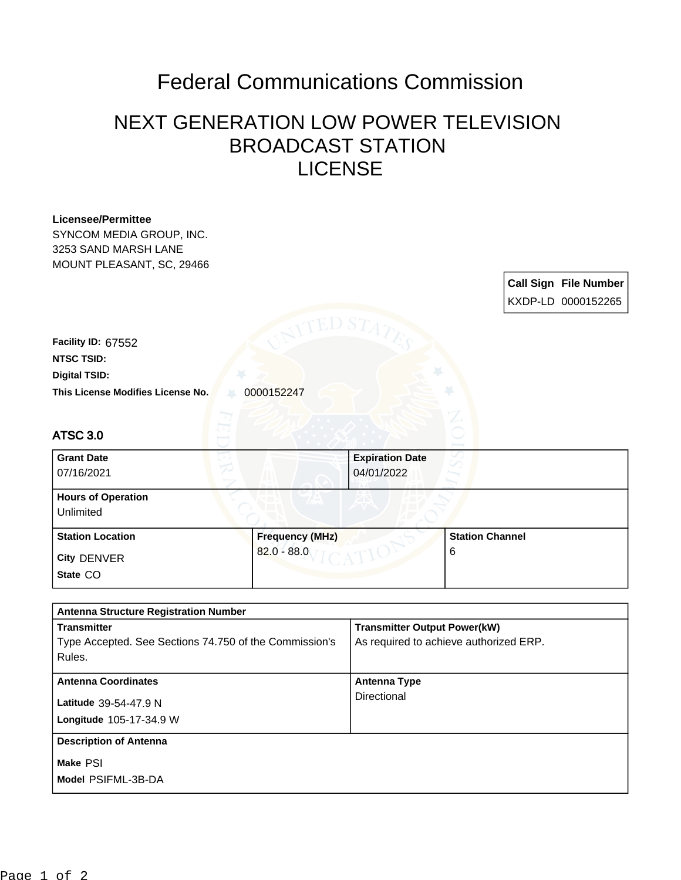## Federal Communications Commission

## NEXT GENERATION LOW POWER TELEVISION BROADCAST STATION LICENSE

| <b>Licensee/Permittee</b><br>SYNCOM MEDIA GROUP, INC.            |                        |                                        |                        |  |                              |
|------------------------------------------------------------------|------------------------|----------------------------------------|------------------------|--|------------------------------|
| 3253 SAND MARSH LANE                                             |                        |                                        |                        |  |                              |
| MOUNT PLEASANT, SC, 29466                                        |                        |                                        |                        |  | <b>Call Sign File Number</b> |
|                                                                  |                        |                                        |                        |  | KXDP-LD 0000152265           |
|                                                                  | 7ED S7                 |                                        |                        |  |                              |
| Facility ID: 67552                                               |                        |                                        |                        |  |                              |
| <b>NTSC TSID:</b>                                                |                        |                                        |                        |  |                              |
| <b>Digital TSID:</b>                                             |                        |                                        |                        |  |                              |
| This License Modifies License No.                                | 0000152247             |                                        |                        |  |                              |
|                                                                  |                        |                                        |                        |  |                              |
| <b>ATSC 3.0</b>                                                  |                        |                                        |                        |  |                              |
| <b>Grant Date</b>                                                |                        |                                        |                        |  |                              |
| 07/16/2021                                                       |                        | 04/01/2022                             |                        |  |                              |
| <b>Hours of Operation</b>                                        |                        |                                        |                        |  |                              |
| Unlimited                                                        |                        |                                        |                        |  |                              |
| <b>Station Location</b>                                          | <b>Frequency (MHz)</b> |                                        | <b>Station Channel</b> |  |                              |
| City DENVER                                                      | $82.0 - 88.0$          |                                        | 6                      |  |                              |
| State CO                                                         |                        |                                        |                        |  |                              |
|                                                                  |                        |                                        |                        |  |                              |
| <b>Antenna Structure Registration Number</b>                     |                        |                                        |                        |  |                              |
| <b>Transmitter</b>                                               |                        | <b>Transmitter Output Power(kW)</b>    |                        |  |                              |
| Type Accepted. See Sections 74.750 of the Commission's<br>Rules. |                        | As required to achieve authorized ERP. |                        |  |                              |
| <b>Antenna Coordinates</b>                                       |                        | <b>Antenna Type</b>                    |                        |  |                              |
| Latitude 39-54-47.9 N                                            |                        | Directional                            |                        |  |                              |
| Longitude 105-17-34.9 W                                          |                        |                                        |                        |  |                              |
| <b>Description of Antenna</b>                                    |                        |                                        |                        |  |                              |
|                                                                  |                        |                                        |                        |  |                              |
| Make PSI                                                         |                        |                                        |                        |  |                              |
| Model PSIFML-3B-DA                                               |                        |                                        |                        |  |                              |